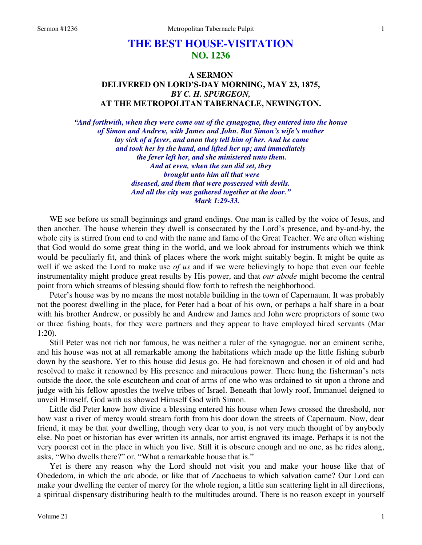# **THE BEST HOUSE-VISITATION NO. 1236**

## **A SERMON DELIVERED ON LORD'S-DAY MORNING, MAY 23, 1875,**  *BY C. H. SPURGEON,*  **AT THE METROPOLITAN TABERNACLE, NEWINGTON.**

*"And forthwith, when they were come out of the synagogue, they entered into the house of Simon and Andrew, with James and John. But Simon's wife's mother lay sick of a fever, and anon they tell him of her. And he came and took her by the hand, and lifted her up; and immediately the fever left her, and she ministered unto them. And at even, when the sun did set, they brought unto him all that were diseased, and them that were possessed with devils. And all the city was gathered together at the door." Mark 1:29-33.* 

WE see before us small beginnings and grand endings. One man is called by the voice of Jesus, and then another. The house wherein they dwell is consecrated by the Lord's presence, and by-and-by, the whole city is stirred from end to end with the name and fame of the Great Teacher. We are often wishing that God would do some great thing in the world, and we look abroad for instruments which we think would be peculiarly fit, and think of places where the work might suitably begin. It might be quite as well if we asked the Lord to make use *of us* and if we were believingly to hope that even our feeble instrumentality might produce great results by His power, and that *our abode* might become the central point from which streams of blessing should flow forth to refresh the neighborhood.

Peter's house was by no means the most notable building in the town of Capernaum. It was probably not the poorest dwelling in the place, for Peter had a boat of his own, or perhaps a half share in a boat with his brother Andrew, or possibly he and Andrew and James and John were proprietors of some two or three fishing boats, for they were partners and they appear to have employed hired servants (Mar 1:20).

Still Peter was not rich nor famous, he was neither a ruler of the synagogue, nor an eminent scribe, and his house was not at all remarkable among the habitations which made up the little fishing suburb down by the seashore. Yet to this house did Jesus go. He had foreknown and chosen it of old and had resolved to make it renowned by His presence and miraculous power. There hung the fisherman's nets outside the door, the sole escutcheon and coat of arms of one who was ordained to sit upon a throne and judge with his fellow apostles the twelve tribes of Israel. Beneath that lowly roof, Immanuel deigned to unveil Himself, God with us showed Himself God with Simon.

Little did Peter know how divine a blessing entered his house when Jews crossed the threshold, nor how vast a river of mercy would stream forth from his door down the streets of Capernaum. Now, dear friend, it may be that your dwelling, though very dear to you, is not very much thought of by anybody else. No poet or historian has ever written its annals, nor artist engraved its image. Perhaps it is not the very poorest cot in the place in which you live. Still it is obscure enough and no one, as he rides along, asks, "Who dwells there?" or, "What a remarkable house that is."

Yet is there any reason why the Lord should not visit you and make your house like that of Obededom, in which the ark abode, or like that of Zacchaeus to which salvation came? Our Lord can make your dwelling the center of mercy for the whole region, a little sun scattering light in all directions, a spiritual dispensary distributing health to the multitudes around. There is no reason except in yourself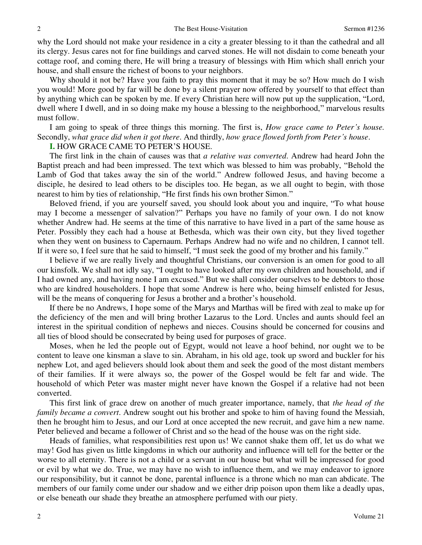why the Lord should not make your residence in a city a greater blessing to it than the cathedral and all its clergy. Jesus cares not for fine buildings and carved stones. He will not disdain to come beneath your cottage roof, and coming there, He will bring a treasury of blessings with Him which shall enrich your house, and shall ensure the richest of boons to your neighbors.

Why should it not be? Have you faith to pray this moment that it may be so? How much do I wish you would! More good by far will be done by a silent prayer now offered by yourself to that effect than by anything which can be spoken by me. If every Christian here will now put up the supplication, "Lord, dwell where I dwell, and in so doing make my house a blessing to the neighborhood," marvelous results must follow.

I am going to speak of three things this morning. The first is, *How grace came to Peter's house.*  Secondly, *what grace did when it got there*. And thirdly, *how grace flowed forth from Peter's house*.

### **I.** HOW GRACE CAME TO PETER'S HOUSE.

The first link in the chain of causes was that *a relative was converted*. Andrew had heard John the Baptist preach and had been impressed. The text which was blessed to him was probably, "Behold the Lamb of God that takes away the sin of the world." Andrew followed Jesus, and having become a disciple, he desired to lead others to be disciples too. He began, as we all ought to begin, with those nearest to him by ties of relationship, "He first finds his own brother Simon."

Beloved friend, if you are yourself saved, you should look about you and inquire, "To what house may I become a messenger of salvation?" Perhaps you have no family of your own. I do not know whether Andrew had. He seems at the time of this narrative to have lived in a part of the same house as Peter. Possibly they each had a house at Bethesda, which was their own city, but they lived together when they went on business to Capernaum. Perhaps Andrew had no wife and no children, I cannot tell. If it were so, I feel sure that he said to himself, "I must seek the good of my brother and his family."

I believe if we are really lively and thoughtful Christians, our conversion is an omen for good to all our kinsfolk. We shall not idly say, "I ought to have looked after my own children and household, and if I had owned any, and having none I am excused." But we shall consider ourselves to be debtors to those who are kindred householders. I hope that some Andrew is here who, being himself enlisted for Jesus, will be the means of conquering for Jesus a brother and a brother's household.

If there be no Andrews, I hope some of the Marys and Marthas will be fired with zeal to make up for the deficiency of the men and will bring brother Lazarus to the Lord. Uncles and aunts should feel an interest in the spiritual condition of nephews and nieces. Cousins should be concerned for cousins and all ties of blood should be consecrated by being used for purposes of grace.

Moses, when he led the people out of Egypt, would not leave a hoof behind, nor ought we to be content to leave one kinsman a slave to sin. Abraham, in his old age, took up sword and buckler for his nephew Lot, and aged believers should look about them and seek the good of the most distant members of their families. If it were always so, the power of the Gospel would be felt far and wide. The household of which Peter was master might never have known the Gospel if a relative had not been converted.

This first link of grace drew on another of much greater importance, namely, that *the head of the family became a convert*. Andrew sought out his brother and spoke to him of having found the Messiah, then he brought him to Jesus, and our Lord at once accepted the new recruit, and gave him a new name. Peter believed and became a follower of Christ and so the head of the house was on the right side.

Heads of families, what responsibilities rest upon us! We cannot shake them off, let us do what we may! God has given us little kingdoms in which our authority and influence will tell for the better or the worse to all eternity. There is not a child or a servant in our house but what will be impressed for good or evil by what we do. True, we may have no wish to influence them, and we may endeavor to ignore our responsibility, but it cannot be done, parental influence is a throne which no man can abdicate. The members of our family come under our shadow and we either drip poison upon them like a deadly upas, or else beneath our shade they breathe an atmosphere perfumed with our piety.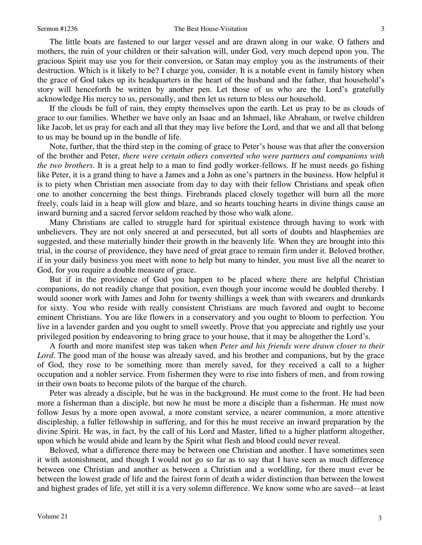#### Sermon #1236 The Best House-Visitation

The little boats are fastened to our larger vessel and are drawn along in our wake. O fathers and mothers, the ruin of your children or their salvation will, under God, very much depend upon you. The gracious Spirit may use you for their conversion, or Satan may employ you as the instruments of their destruction. Which is it likely to be? I charge you, consider. It is a notable event in family history when the grace of God takes up its headquarters in the heart of the husband and the father, that household's story will henceforth be written by another pen. Let those of us who are the Lord's gratefully acknowledge His mercy to us, personally, and then let us return to bless our household.

If the clouds be full of rain, they empty themselves upon the earth. Let us pray to be as clouds of grace to our families. Whether we have only an Isaac and an Ishmael, like Abraham, or twelve children like Jacob, let us pray for each and all that they may live before the Lord, and that we and all that belong to us may be bound up in the bundle of life.

Note, further, that the third step in the coming of grace to Peter's house was that after the conversion of the brother and Peter, *there were certain others converted who were partners and companions with the two brothers*. It is a great help to a man to find godly worker-fellows. If he must needs go fishing like Peter, it is a grand thing to have a James and a John as one's partners in the business. How helpful it is to piety when Christian men associate from day to day with their fellow Christians and speak often one to another concerning the best things. Firebrands placed closely together will burn all the more freely, coals laid in a heap will glow and blaze, and so hearts touching hearts in divine things cause an inward burning and a sacred fervor seldom reached by those who walk alone.

Many Christians are called to struggle hard for spiritual existence through having to work with unbelievers. They are not only sneered at and persecuted, but all sorts of doubts and blasphemies are suggested, and these materially hinder their growth in the heavenly life. When they are brought into this trial, in the course of providence, they have need of great grace to remain firm under it. Beloved brother, if in your daily business you meet with none to help but many to hinder, you must live all the nearer to God, for you require a double measure of grace.

But if in the providence of God you happen to be placed where there are helpful Christian companions, do not readily change that position, even though your income would be doubled thereby. I would sooner work with James and John for twenty shillings a week than with swearers and drunkards for sixty. You who reside with really consistent Christians are much favored and ought to become eminent Christians. You are like flowers in a conservatory and you ought to bloom to perfection. You live in a lavender garden and you ought to smell sweetly. Prove that you appreciate and rightly use your privileged position by endeavoring to bring grace to your house, that it may be altogether the Lord's.

A fourth and more manifest step was taken when *Peter and his friends were drawn closer to their Lord*. The good man of the house was already saved, and his brother and companions, but by the grace of God, they rose to be something more than merely saved, for they received a call to a higher occupation and a nobler service. From fishermen they were to rise into fishers of men, and from rowing in their own boats to become pilots of the barque of the church.

Peter was already a disciple, but he was in the background. He must come to the front. He had been more a fisherman than a disciple, but now he must be more a disciple than a fisherman. He must now follow Jesus by a more open avowal, a more constant service, a nearer communion, a more attentive discipleship, a fuller fellowship in suffering, and for this he must receive an inward preparation by the divine Spirit. He was, in fact, by the call of his Lord and Master, lifted to a higher platform altogether, upon which he would abide and learn by the Spirit what flesh and blood could never reveal.

Beloved, what a difference there may be between one Christian and another. I have sometimes seen it with astonishment, and though I would not go so far as to say that I have seen as much difference between one Christian and another as between a Christian and a worldling, for there must ever be between the lowest grade of life and the fairest form of death a wider distinction than between the lowest and highest grades of life, yet still it is a very solemn difference. We know some who are saved—at least

3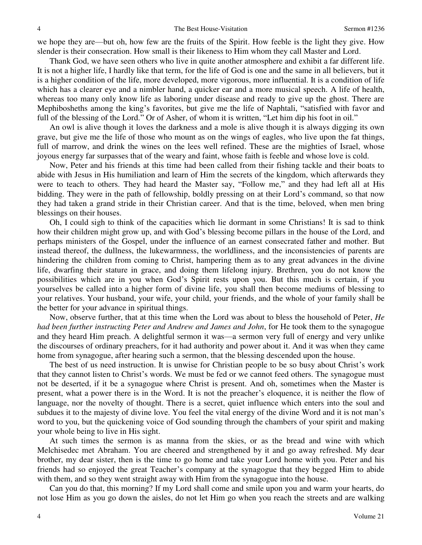we hope they are—but oh, how few are the fruits of the Spirit. How feeble is the light they give. How slender is their consecration. How small is their likeness to Him whom they call Master and Lord.

Thank God, we have seen others who live in quite another atmosphere and exhibit a far different life. It is not a higher life, I hardly like that term, for the life of God is one and the same in all believers, but it is a higher condition of the life, more developed, more vigorous, more influential. It is a condition of life which has a clearer eye and a nimbler hand, a quicker ear and a more musical speech. A life of health, whereas too many only know life as laboring under disease and ready to give up the ghost. There are Mephibosheths among the king's favorites, but give me the life of Naphtali, "satisfied with favor and full of the blessing of the Lord." Or of Asher, of whom it is written, "Let him dip his foot in oil."

An owl is alive though it loves the darkness and a mole is alive though it is always digging its own grave, but give me the life of those who mount as on the wings of eagles, who live upon the fat things, full of marrow, and drink the wines on the lees well refined. These are the mighties of Israel, whose joyous energy far surpasses that of the weary and faint, whose faith is feeble and whose love is cold.

Now, Peter and his friends at this time had been called from their fishing tackle and their boats to abide with Jesus in His humiliation and learn of Him the secrets of the kingdom, which afterwards they were to teach to others. They had heard the Master say, "Follow me," and they had left all at His bidding. They were in the path of fellowship, boldly pressing on at their Lord's command, so that now they had taken a grand stride in their Christian career. And that is the time, beloved, when men bring blessings on their houses.

Oh, I could sigh to think of the capacities which lie dormant in some Christians! It is sad to think how their children might grow up, and with God's blessing become pillars in the house of the Lord, and perhaps ministers of the Gospel, under the influence of an earnest consecrated father and mother. But instead thereof, the dullness, the lukewarmness, the worldliness, and the inconsistencies of parents are hindering the children from coming to Christ, hampering them as to any great advances in the divine life, dwarfing their stature in grace, and doing them lifelong injury. Brethren, you do not know the possibilities which are in you when God's Spirit rests upon you. But this much is certain, if you yourselves be called into a higher form of divine life, you shall then become mediums of blessing to your relatives. Your husband, your wife, your child, your friends, and the whole of your family shall be the better for your advance in spiritual things.

Now, observe further, that at this time when the Lord was about to bless the household of Peter, *He had been further instructing Peter and Andrew and James and John*, for He took them to the synagogue and they heard Him preach. A delightful sermon it was—a sermon very full of energy and very unlike the discourses of ordinary preachers, for it had authority and power about it. And it was when they came home from synagogue, after hearing such a sermon, that the blessing descended upon the house.

The best of us need instruction. It is unwise for Christian people to be so busy about Christ's work that they cannot listen to Christ's words. We must be fed or we cannot feed others. The synagogue must not be deserted, if it be a synagogue where Christ is present. And oh, sometimes when the Master is present, what a power there is in the Word. It is not the preacher's eloquence, it is neither the flow of language, nor the novelty of thought. There is a secret, quiet influence which enters into the soul and subdues it to the majesty of divine love. You feel the vital energy of the divine Word and it is not man's word to you, but the quickening voice of God sounding through the chambers of your spirit and making your whole being to live in His sight.

At such times the sermon is as manna from the skies, or as the bread and wine with which Melchisedec met Abraham. You are cheered and strengthened by it and go away refreshed. My dear brother, my dear sister, then is the time to go home and take your Lord home with you. Peter and his friends had so enjoyed the great Teacher's company at the synagogue that they begged Him to abide with them, and so they went straight away with Him from the synagogue into the house.

Can you do that, this morning? If my Lord shall come and smile upon you and warm your hearts, do not lose Him as you go down the aisles, do not let Him go when you reach the streets and are walking

4

4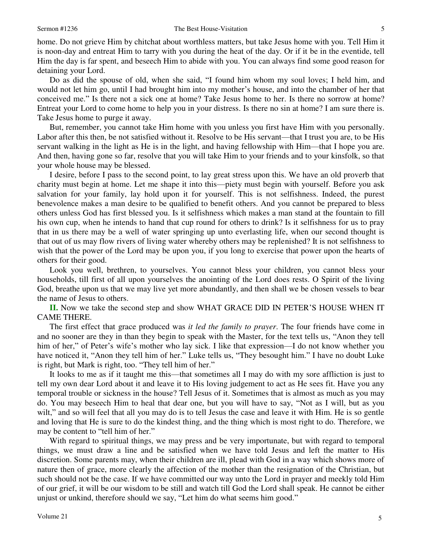home. Do not grieve Him by chitchat about worthless matters, but take Jesus home with you. Tell Him it is noon-day and entreat Him to tarry with you during the heat of the day. Or if it be in the eventide, tell Him the day is far spent, and beseech Him to abide with you. You can always find some good reason for detaining your Lord.

Do as did the spouse of old, when she said, "I found him whom my soul loves; I held him, and would not let him go, until I had brought him into my mother's house, and into the chamber of her that conceived me." Is there not a sick one at home? Take Jesus home to her. Is there no sorrow at home? Entreat your Lord to come home to help you in your distress. Is there no sin at home? I am sure there is. Take Jesus home to purge it away.

But, remember, you cannot take Him home with you unless you first have Him with you personally. Labor after this then, be not satisfied without it. Resolve to be His servant—that I trust you are, to be His servant walking in the light as He is in the light, and having fellowship with Him—that I hope you are. And then, having gone so far, resolve that you will take Him to your friends and to your kinsfolk, so that your whole house may be blessed.

I desire, before I pass to the second point, to lay great stress upon this. We have an old proverb that charity must begin at home. Let me shape it into this—piety must begin with yourself. Before you ask salvation for your family, lay hold upon it for yourself. This is not selfishness. Indeed, the purest benevolence makes a man desire to be qualified to benefit others. And you cannot be prepared to bless others unless God has first blessed you. Is it selfishness which makes a man stand at the fountain to fill his own cup, when he intends to hand that cup round for others to drink? Is it selfishness for us to pray that in us there may be a well of water springing up unto everlasting life, when our second thought is that out of us may flow rivers of living water whereby others may be replenished? It is not selfishness to wish that the power of the Lord may be upon you, if you long to exercise that power upon the hearts of others for their good.

Look you well, brethren, to yourselves. You cannot bless your children, you cannot bless your households, till first of all upon yourselves the anointing of the Lord does rests. O Spirit of the living God, breathe upon us that we may live yet more abundantly, and then shall we be chosen vessels to bear the name of Jesus to others.

**II.** Now we take the second step and show WHAT GRACE DID IN PETER'S HOUSE WHEN IT CAME THERE.

The first effect that grace produced was *it led the family to prayer*. The four friends have come in and no sooner are they in than they begin to speak with the Master, for the text tells us, "Anon they tell him of her," of Peter's wife's mother who lay sick. I like that expression—I do not know whether you have noticed it, "Anon they tell him of her." Luke tells us, "They besought him." I have no doubt Luke is right, but Mark is right, too. "They tell him of her."

It looks to me as if it taught me this—that sometimes all I may do with my sore affliction is just to tell my own dear Lord about it and leave it to His loving judgement to act as He sees fit. Have you any temporal trouble or sickness in the house? Tell Jesus of it. Sometimes that is almost as much as you may do. You may beseech Him to heal that dear one, but you will have to say, "Not as I will, but as you wilt," and so will feel that all you may do is to tell Jesus the case and leave it with Him. He is so gentle and loving that He is sure to do the kindest thing, and the thing which is most right to do. Therefore, we may be content to "tell him of her."

With regard to spiritual things, we may press and be very importunate, but with regard to temporal things, we must draw a line and be satisfied when we have told Jesus and left the matter to His discretion. Some parents may, when their children are ill, plead with God in a way which shows more of nature then of grace, more clearly the affection of the mother than the resignation of the Christian, but such should not be the case. If we have committed our way unto the Lord in prayer and meekly told Him of our grief, it will be our wisdom to be still and watch till God the Lord shall speak. He cannot be either unjust or unkind, therefore should we say, "Let him do what seems him good."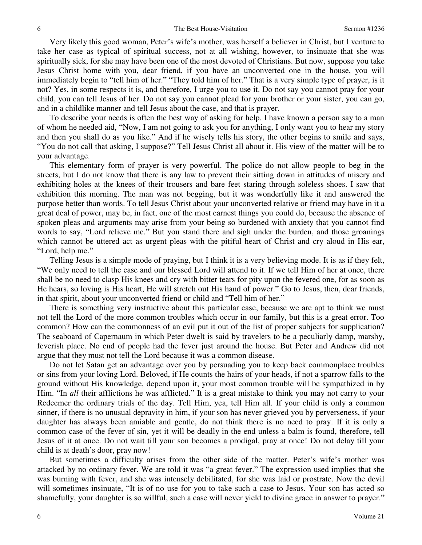Very likely this good woman, Peter's wife's mother, was herself a believer in Christ, but I venture to take her case as typical of spiritual success, not at all wishing, however, to insinuate that she was spiritually sick, for she may have been one of the most devoted of Christians. But now, suppose you take Jesus Christ home with you, dear friend, if you have an unconverted one in the house, you will immediately begin to "tell him of her." "They told him of her." That is a very simple type of prayer, is it not? Yes, in some respects it is, and therefore, I urge you to use it. Do not say you cannot pray for your child, you can tell Jesus of her. Do not say you cannot plead for your brother or your sister, you can go, and in a childlike manner and tell Jesus about the case, and that is prayer.

To describe your needs is often the best way of asking for help. I have known a person say to a man of whom he needed aid, "Now, I am not going to ask you for anything, I only want you to hear my story and then you shall do as you like." And if he wisely tells his story, the other begins to smile and says, "You do not call that asking, I suppose?" Tell Jesus Christ all about it. His view of the matter will be to your advantage.

This elementary form of prayer is very powerful. The police do not allow people to beg in the streets, but I do not know that there is any law to prevent their sitting down in attitudes of misery and exhibiting holes at the knees of their trousers and bare feet staring through soleless shoes. I saw that exhibition this morning. The man was not begging, but it was wonderfully like it and answered the purpose better than words. To tell Jesus Christ about your unconverted relative or friend may have in it a great deal of power, may be, in fact, one of the most earnest things you could do, because the absence of spoken pleas and arguments may arise from your being so burdened with anxiety that you cannot find words to say, "Lord relieve me." But you stand there and sigh under the burden, and those groanings which cannot be uttered act as urgent pleas with the pitiful heart of Christ and cry aloud in His ear, "Lord, help me."

Telling Jesus is a simple mode of praying, but I think it is a very believing mode. It is as if they felt, "We only need to tell the case and our blessed Lord will attend to it. If we tell Him of her at once, there shall be no need to clasp His knees and cry with bitter tears for pity upon the fevered one, for as soon as He hears, so loving is His heart, He will stretch out His hand of power." Go to Jesus, then, dear friends, in that spirit, about your unconverted friend or child and "Tell him of her."

There is something very instructive about this particular case, because we are apt to think we must not tell the Lord of the more common troubles which occur in our family, but this is a great error. Too common? How can the commonness of an evil put it out of the list of proper subjects for supplication? The seaboard of Capernaum in which Peter dwelt is said by travelers to be a peculiarly damp, marshy, feverish place. No end of people had the fever just around the house. But Peter and Andrew did not argue that they must not tell the Lord because it was a common disease.

Do not let Satan get an advantage over you by persuading you to keep back commonplace troubles or sins from your loving Lord. Beloved, if He counts the hairs of your heads, if not a sparrow falls to the ground without His knowledge, depend upon it, your most common trouble will be sympathized in by Him. "In *all* their afflictions he was afflicted." It is a great mistake to think you may not carry to your Redeemer the ordinary trials of the day. Tell Him, yea, tell Him all. If your child is only a common sinner, if there is no unusual depravity in him, if your son has never grieved you by perverseness, if your daughter has always been amiable and gentle, do not think there is no need to pray. If it is only a common case of the fever of sin, yet it will be deadly in the end unless a balm is found, therefore, tell Jesus of it at once. Do not wait till your son becomes a prodigal, pray at once! Do not delay till your child is at death's door, pray now!

But sometimes a difficulty arises from the other side of the matter. Peter's wife's mother was attacked by no ordinary fever. We are told it was "a great fever." The expression used implies that she was burning with fever, and she was intensely debilitated, for she was laid or prostrate. Now the devil will sometimes insinuate, "It is of no use for you to take such a case to Jesus. Your son has acted so shamefully, your daughter is so willful, such a case will never yield to divine grace in answer to prayer."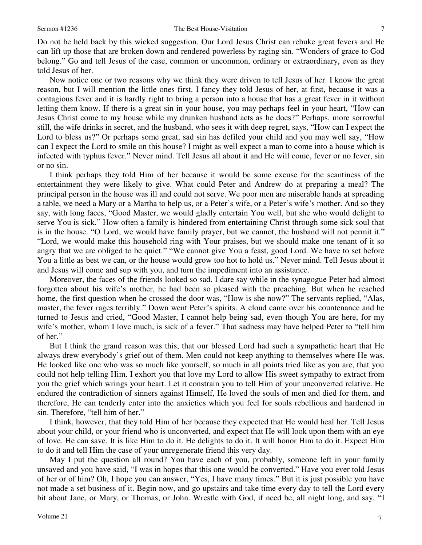Do not be held back by this wicked suggestion. Our Lord Jesus Christ can rebuke great fevers and He can lift up those that are broken down and rendered powerless by raging sin. "Wonders of grace to God belong." Go and tell Jesus of the case, common or uncommon, ordinary or extraordinary, even as they told Jesus of her.

Now notice one or two reasons why we think they were driven to tell Jesus of her. I know the great reason, but I will mention the little ones first. I fancy they told Jesus of her, at first, because it was a contagious fever and it is hardly right to bring a person into a house that has a great fever in it without letting them know. If there is a great sin in your house, you may perhaps feel in your heart, "How can Jesus Christ come to my house while my drunken husband acts as he does?" Perhaps, more sorrowful still, the wife drinks in secret, and the husband, who sees it with deep regret, says, "How can I expect the Lord to bless us?" Or perhaps some great, sad sin has defiled your child and you may well say, "How can I expect the Lord to smile on this house? I might as well expect a man to come into a house which is infected with typhus fever." Never mind. Tell Jesus all about it and He will come, fever or no fever, sin or no sin.

I think perhaps they told Him of her because it would be some excuse for the scantiness of the entertainment they were likely to give. What could Peter and Andrew do at preparing a meal? The principal person in the house was ill and could not serve. We poor men are miserable hands at spreading a table, we need a Mary or a Martha to help us, or a Peter's wife, or a Peter's wife's mother. And so they say, with long faces, "Good Master, we would gladly entertain You well, but she who would delight to serve You is sick." How often a family is hindered from entertaining Christ through some sick soul that is in the house. "O Lord, we would have family prayer, but we cannot, the husband will not permit it." "Lord, we would make this household ring with Your praises, but we should make one tenant of it so angry that we are obliged to be quiet." "We cannot give You a feast, good Lord. We have to set before You a little as best we can, or the house would grow too hot to hold us." Never mind. Tell Jesus about it and Jesus will come and sup with you, and turn the impediment into an assistance.

Moreover, the faces of the friends looked so sad. I dare say while in the synagogue Peter had almost forgotten about his wife's mother, he had been so pleased with the preaching. But when he reached home, the first question when he crossed the door was, "How is she now?" The servants replied, "Alas, master, the fever rages terribly." Down went Peter's spirits. A cloud came over his countenance and he turned to Jesus and cried, "Good Master, I cannot help being sad, even though You are here, for my wife's mother, whom I love much, is sick of a fever." That sadness may have helped Peter to "tell him of her."

But I think the grand reason was this, that our blessed Lord had such a sympathetic heart that He always drew everybody's grief out of them. Men could not keep anything to themselves where He was. He looked like one who was so much like yourself, so much in all points tried like as you are, that you could not help telling Him. I exhort you that love my Lord to allow His sweet sympathy to extract from you the grief which wrings your heart. Let it constrain you to tell Him of your unconverted relative. He endured the contradiction of sinners against Himself, He loved the souls of men and died for them, and therefore, He can tenderly enter into the anxieties which you feel for souls rebellious and hardened in sin. Therefore, "tell him of her."

I think, however, that they told Him of her because they expected that He would heal her. Tell Jesus about your child, or your friend who is unconverted, and expect that He will look upon them with an eye of love. He can save. It is like Him to do it. He delights to do it. It will honor Him to do it. Expect Him to do it and tell Him the case of your unregenerate friend this very day.

May I put the question all round? You have each of you, probably, someone left in your family unsaved and you have said, "I was in hopes that this one would be converted." Have you ever told Jesus of her or of him? Oh, I hope you can answer, "Yes, I have many times." But it is just possible you have not made a set business of it. Begin now, and go upstairs and take time every day to tell the Lord every bit about Jane, or Mary, or Thomas, or John. Wrestle with God, if need be, all night long, and say, "I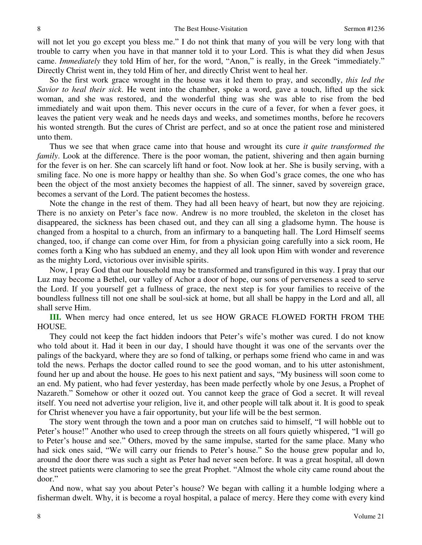will not let you go except you bless me." I do not think that many of you will be very long with that trouble to carry when you have in that manner told it to your Lord. This is what they did when Jesus came. *Immediately* they told Him of her, for the word, "Anon," is really, in the Greek "immediately." Directly Christ went in, they told Him of her, and directly Christ went to heal her.

So the first work grace wrought in the house was it led them to pray, and secondly, *this led the Savior to heal their sick*. He went into the chamber, spoke a word, gave a touch, lifted up the sick woman, and she was restored, and the wonderful thing was she was able to rise from the bed immediately and wait upon them. This never occurs in the cure of a fever, for when a fever goes, it leaves the patient very weak and he needs days and weeks, and sometimes months, before he recovers his wonted strength. But the cures of Christ are perfect, and so at once the patient rose and ministered unto them.

Thus we see that when grace came into that house and wrought its cure *it quite transformed the family*. Look at the difference. There is the poor woman, the patient, shivering and then again burning for the fever is on her. She can scarcely lift hand or foot. Now look at her. She is busily serving, with a smiling face. No one is more happy or healthy than she. So when God's grace comes, the one who has been the object of the most anxiety becomes the happiest of all. The sinner, saved by sovereign grace, becomes a servant of the Lord. The patient becomes the hostess.

Note the change in the rest of them. They had all been heavy of heart, but now they are rejoicing. There is no anxiety on Peter's face now. Andrew is no more troubled, the skeleton in the closet has disappeared, the sickness has been chased out, and they can all sing a gladsome hymn. The house is changed from a hospital to a church, from an infirmary to a banqueting hall. The Lord Himself seems changed, too, if change can come over Him, for from a physician going carefully into a sick room, He comes forth a King who has subdued an enemy, and they all look upon Him with wonder and reverence as the mighty Lord, victorious over invisible spirits.

Now, I pray God that our household may be transformed and transfigured in this way. I pray that our Luz may become a Bethel, our valley of Achor a door of hope, our sons of perverseness a seed to serve the Lord. If you yourself get a fullness of grace, the next step is for your families to receive of the boundless fullness till not one shall be soul-sick at home, but all shall be happy in the Lord and all, all shall serve Him.

**III.** When mercy had once entered, let us see HOW GRACE FLOWED FORTH FROM THE HOUSE.

They could not keep the fact hidden indoors that Peter's wife's mother was cured. I do not know who told about it. Had it been in our day, I should have thought it was one of the servants over the palings of the backyard, where they are so fond of talking, or perhaps some friend who came in and was told the news. Perhaps the doctor called round to see the good woman, and to his utter astonishment, found her up and about the house. He goes to his next patient and says, "My business will soon come to an end. My patient, who had fever yesterday, has been made perfectly whole by one Jesus, a Prophet of Nazareth." Somehow or other it oozed out. You cannot keep the grace of God a secret. It will reveal itself. You need not advertise your religion, live it, and other people will talk about it. It is good to speak for Christ whenever you have a fair opportunity, but your life will be the best sermon.

The story went through the town and a poor man on crutches said to himself, "I will hobble out to Peter's house!" Another who used to creep through the streets on all fours quietly whispered, "I will go to Peter's house and see." Others, moved by the same impulse, started for the same place. Many who had sick ones said, "We will carry our friends to Peter's house." So the house grew popular and lo, around the door there was such a sight as Peter had never seen before. It was a great hospital, all down the street patients were clamoring to see the great Prophet. "Almost the whole city came round about the door."

And now, what say you about Peter's house? We began with calling it a humble lodging where a fisherman dwelt. Why, it is become a royal hospital, a palace of mercy. Here they come with every kind